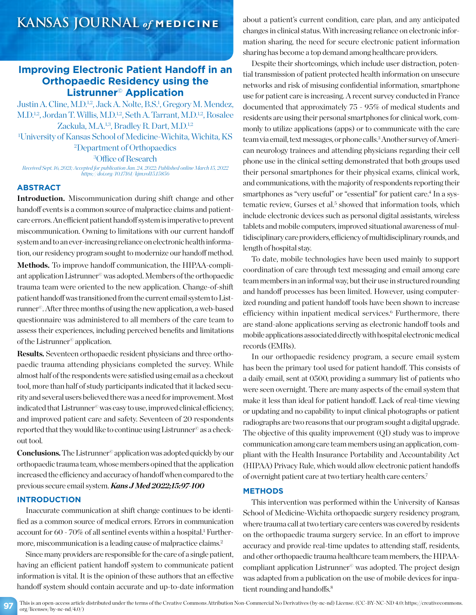### **Improving Electronic Patient Handoff in an Orthopaedic Residency using the Listrunner**© **Application**

Justin A. Cline, M.D.<sup>1,2</sup>, Jack A. Nolte, B.S.<sup>1</sup>, Gregory M. Mendez, M.D.<sup>1,2</sup>, Jordan T. Willis, M.D.<sup>1,2</sup>, Seth A. Tarrant, M.D.<sup>1,2</sup>, Rosalee Zackula, M.A.<sup>1,3</sup>, Bradley R. Dart, M.D.<sup>1,2</sup> 1 University of Kansas School of Medicine-Wichita, Wichita, KS 2 Department of Orthopaedics 3 Office of Research

*Received Sept. 16, 2021; Accepted for publication Jan. 24, 2022; Published online March 15, 2022 https://doi.org/10.17161/kjm.vol15.15856*

### **ABSTRACT**

**Introduction.** Miscommunication during shift change and other handoff events is a common source of malpractice claims and patientcare errors. An efficient patient handoff system is imperative to prevent miscommunication. Owning to limitations with our current handoff system and to an ever-increasing reliance on electronic health information, our residency program sought to modernize our handoff method.

Methods. To improve handoff communication, the HIPAA-compliant application Listrunner© was adopted. Members of the orthopaedic trauma team were oriented to the new application. Change-of-shift patient handoff was transitioned from the current email system to Listrunner©. After three months of using the new application, a web-based questionnaire was administered to all members of the care team to assess their experiences, including perceived benefits and limitations of the Listrunner© application.

**Results.** Seventeen orthopaedic resident physicians and three orthopaedic trauma attending physicians completed the survey. While almost half of the respondents were satisfied using email as a checkout tool, more than half of study participants indicated that it lacked security and several users believed there was a need for improvement. Most indicated that Listrunner<sup>®</sup> was easy to use, improved clinical efficiency, and improved patient care and safety. Seventeen of 20 respondents reported that they would like to continue using Listrunner© as a checkout tool.

**Conclusions.**The Listrunner© application was adopted quickly by our orthopaedic trauma team, whose members opined that the application increased the efficiency and accuracy of handoff when compared to the previous secure email system. *Kans J Med 2022;15:97-100*

### **INTRODUCTION**

Inaccurate communication at shift change continues to be identified as a common source of medical errors. Errors in communication account for 60 - 70% of all sentinel events within a hospital.<sup>1</sup> Furthermore, miscommunication is a leading cause of malpractice claims.<sup>2</sup>

Since many providers are responsible for the care of a single patient, having an efficient patient handoff system to communicate patient information is vital. It is the opinion of these authors that an effective handoff system should contain accurate and up-to-date information about a patient's current condition, care plan, and any anticipated changes in clinical status. With increasing reliance on electronic information sharing, the need for secure electronic patient information sharing has become a top demand among healthcare providers.

Despite their shortcomings, which include user distraction, potential transmission of patient protected health information on unsecure networks and risk of misusing confidential information, smartphone use for patient care is increasing. A recent survey conducted in France documented that approximately 75 - 95% of medical students and residents are using their personal smartphones for clinical work, commonly to utilize applications (apps) or to communicate with the care team via email, text messages, or phone calls.<sup>3</sup> Another survey of American neurology trainees and attending physicians regarding their cell phone use in the clinical setting demonstrated that both groups used their personal smartphones for their physical exams, clinical work, and communications, with the majority of respondents reporting their smartphones as "very useful" or "essential" for patient care.<sup>4</sup> In a systematic review, Gurses et al.<sup>5</sup> showed that information tools, which include electronic devices such as personal digital assistants, wireless tablets and mobile computers, improved situational awareness of multidisciplinary care providers, efficiency of multidisciplinary rounds, and length of hospital stay.

To date, mobile technologies have been used mainly to support coordination of care through text messaging and email among care team members in an informal way, but their use in structured rounding and handoff processes has been limited. However, using computerized rounding and patient handoff tools have been shown to increase efficiency within inpatient medical services.<sup>6</sup> Furthermore, there are stand-alone applications serving as electronic handoff tools and mobile applications associated directly with hospital electronic medical records (EMRs).

In our orthopaedic residency program, a secure email system has been the primary tool used for patient handoff. This consists of a daily email, sent at 0500, providing a summary list of patients who were seen overnight. There are many aspects of the email system that make it less than ideal for patient handoff. Lack of real-time viewing or updating and no capability to input clinical photographs or patient radiographs are two reasons that our program sought a digital upgrade. The objective of this quality improvement (QI) study was to improve communication among care team members using an application, compliant with the Health Insurance Portability and Accountability Act (HIPAA) Privacy Rule, which would allow electronic patient handoffs of overnight patient care at two tertiary health care centers.7

### **METHODS**

This intervention was performed within the University of Kansas School of Medicine-Wichita orthopaedic surgery residency program, where trauma call at two tertiary care centers was covered by residents on the orthopaedic trauma surgery service. In an effort to improve accuracy and provide real-time updates to attending staff, residents, and other orthopaedic trauma healthcare team members, the HIPAAcompliant application Listrunner<sup>®</sup> was adopted. The project design was adapted from a publication on the use of mobile devices for inpatient rounding and handoffs.<sup>8</sup>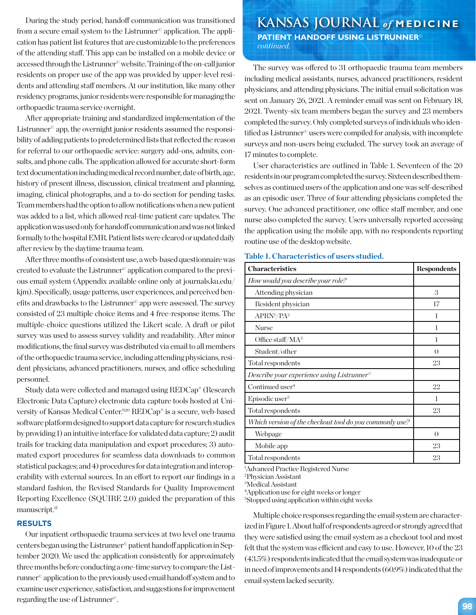from a secure email system to the Listrunner<sup>®</sup> application. The application has patient list features that are customizable to the preferences of the attending staff. This app can be installed on a mobile device or accessed through the Listrunner© website. Training of the on-call junior residents on proper use of the app was provided by upper-level residents and attending staff members. At our institution, like many other residency programs, junior residents were responsible for managing the orthopaedic trauma service overnight.

After appropriate training and standardized implementation of the Listrunner<sup>©</sup> app, the overnight junior residents assumed the responsibility of adding patients to predetermined lists that reflected the reason for referral to our orthopaedic service: surgery add-ons, admits, consults, and phone calls. The application allowed for accurate short-form text documentation including medical record number, date of birth, age, history of present illness, discussion, clinical treatment and planning, imaging, clinical photographs, and a to-do section for pending tasks. Team members had the option to allow notifications when a new patient was added to a list, which allowed real-time patient care updates. The application was used only for handoff communication and was not linked formally to the hospital EMR. Patient lists were cleared or updated daily after review by the daytime trauma team.

After three months of consistent use, a web-based questionnaire was created to evaluate the Listrunner© application compared to the previous email system (Appendix available online only at journals.ku.edu/ kjm). Specifically, usage patterns, user experiences, and perceived benefits and drawbacks to the Listrunner $^{\circ}$  app were assessed. The survey consisted of 23 multiple choice items and 4 free-response items. The multiple-choice questions utilized the Likert scale. A draft or pilot survey was used to assess survey validity and readability. After minor modifications, the final survey was distributed via email to all members of the orthopaedic trauma service, including attending physicians, resident physicians, advanced practitioners, nurses, and office scheduling personnel.

Study data were collected and managed using REDCap® (Research Electronic Data Capture) electronic data capture tools hosted at University of Kansas Medical Center.9,10 REDCap® is a secure, web-based software platform designed to support data capture for research studies by providing 1) an intuitive interface for validated data capture; 2) audit trails for tracking data manipulation and export procedures; 3) automated export procedures for seamless data downloads to common statistical packages; and 4) procedures for data integration and interoperability with external sources. In an effort to report our findings in a standard fashion, the Revised Standards for Quality Improvement Reporting Excellence (SQUIRE 2.0) guided the preparation of this manuscript.<sup>11</sup>

#### **RESULTS**

Our inpatient orthopaedic trauma services at two level one trauma centers began using the Listrunner© patient handoff application in September 2020. We used the application consistently for approximately three months before conducting a one-time survey to compare the Listrunner© application to the previously used email handoff system and to examine user experience, satisfaction, and suggestions for improvement regarding the use of Listrunner©.

# During the study period, handoff communication was transitioned **KANSAS JOURNAL** of **MEDICINE**

 **PATIENT HANDOFF USING LISTRUNNER**© *continued.*

The survey was offered to 31 orthopaedic trauma team members including medical assistants, nurses, advanced practitioners, resident physicians, and attending physicians. The initial email solicitation was sent on January 26, 2021. A reminder email was sent on February 18, 2021. Twenty-six team members began the survey and 23 members completed the survey. Only completed surveys of individuals who identified as Listrunner<sup>©</sup> users were compiled for analysis, with incomplete surveys and non-users being excluded. The survey took an average of 17 minutes to complete.

User characteristics are outlined in Table 1. Seventeen of the 20 residents in our program completed the survey. Sixteen described themselves as continued users of the application and one was self-described as an episodic user. Three of four attending physicians completed the survey. One advanced practitioner, one office staff member, and one nurse also completed the survey. Users universally reported accessing the application using the mobile app, with no respondents reporting routine use of the desktop website.

| <b>Characteristics</b>                                  | <b>Respondents</b> |
|---------------------------------------------------------|--------------------|
| How would you describe your role?                       |                    |
| Attending physician                                     | 3                  |
| Resident physician                                      | 17                 |
| APRN <sup>1</sup> /PA <sup>2</sup>                      | 1                  |
| Nurse                                                   | 1                  |
| Office staff/ $MA^3$                                    | 1                  |
| Student/other                                           | $\Omega$           |
| Total respondents                                       | 23                 |
| Describe your experience using Listrunner <sup>®</sup>  |                    |
| Continued user <sup>4</sup>                             | 22                 |
| Episodic user <sup>5</sup>                              | 1                  |
| Total respondents                                       | 23                 |
| Which version of the checkout tool do you commonly use? |                    |
| Webpage                                                 | $\Omega$           |
| Mobile app                                              | 23                 |
| Total respondents                                       | 23                 |

**Table 1. Characteristics of users studied.**

1 Advanced Practice Registered Nurse

2 Physician Assistant

3 Medical Assistant

4 Application use for eight weeks or longer

5 Stopped using application within eight weeks

Multiple choice responses regarding the email system are characterized in Figure 1. About half of respondents agreed or strongly agreed that they were satisfied using the email system as a checkout tool and most felt that the system was efficient and easy to use. However, 10 of the 23 (43.5%) respondents indicated that the email system was inadequate or in need of improvements and 14 respondents (60.9%) indicated that the email system lacked security.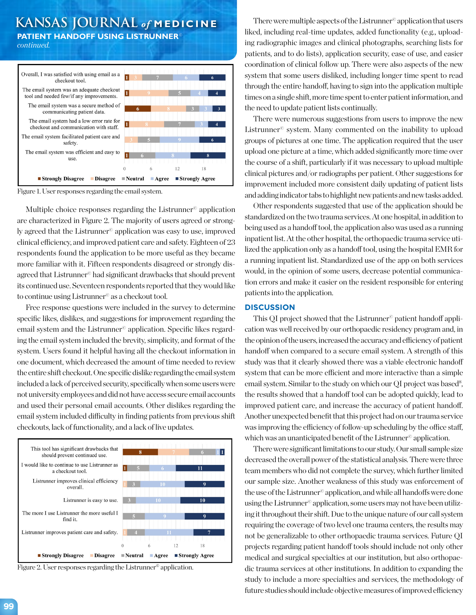## **KANSAS JOURNAL** *of* **MEDICINE**

**PATIENT HANDOFF USING LISTRUNNER** 





Figure 1. User responses regarding the email system.

Multiple choice responses regarding the Listrunner<sup>®</sup> application are characterized in Figure 2. The majority of users agreed or strongly agreed that the Listrunner© application was easy to use, improved clinical efficiency, and improved patient care and safety. Eighteen of 23 respondents found the application to be more useful as they became more familiar with it. Fifteen respondents disagreed or strongly disagreed that Listrunner© had significant drawbacks that should prevent its continued use. Seventeen respondents reported that they would like to continue using Listrunner<sup>©</sup> as a checkout tool.

Free response questions were included in the survey to determine specific likes, dislikes, and suggestions for improvement regarding the email system and the Listrunner© application. Specific likes regarding the email system included the brevity, simplicity, and format of the system. Users found it helpful having all the checkout information in one document, which decreased the amount of time needed to review the entire shift checkout. One specific dislike regarding the email system included a lack of perceived security, specifically when some users were not university employees and did not have access secure email accounts and used their personal email accounts. Other dislikes regarding the email system included difficulty in finding patients from previous shift checkouts, lack of functionality, and a lack of live updates.



Figure 2. User responses regarding the Listrunner<sup>®</sup> application.

There were multiple aspects of the Listrunner<sup>®</sup> application that users liked, including real-time updates, added functionality (e.g., uploading radiographic images and clinical photographs, searching lists for patients, and to do lists), application security, ease of use, and easier coordination of clinical follow up. There were also aspects of the new system that some users disliked, including longer time spent to read through the entire handoff, having to sign into the application multiple times on a single shift, more time spent to enter patient information, and the need to update patient lists continually.

There were numerous suggestions from users to improve the new Listrunner© system. Many commented on the inability to upload groups of pictures at one time. The application required that the user upload one picture at a time, which added significantly more time over the course of a shift, particularly if it was necessary to upload multiple clinical pictures and/or radiographs per patient. Other suggestions for improvement included more consistent daily updating of patient lists and adding indicator tabs to highlight new patients and new tasks added.

Other respondents suggested that use of the application should be standardized on the two trauma services. At one hospital, in addition to being used as a handoff tool, the application also was used as a running inpatient list. At the other hospital, the orthopaedic trauma service utilized the application only as a handoff tool, using the hospital EMR for a running inpatient list. Standardized use of the app on both services would, in the opinion of some users, decrease potential communication errors and make it easier on the resident responsible for entering patients into the application.

### **DISCUSSION**

This QI project showed that the Listrunner<sup>©</sup> patient handoff application was well received by our orthopaedic residency program and, in the opinion of the users, increased the accuracy and efficiency of patient handoff when compared to a secure email system. A strength of this study was that it clearly showed there was a viable electronic handoff system that can be more efficient and more interactive than a simple email system. Similar to the study on which our QI project was based<sup>8</sup>, the results showed that a handoff tool can be adopted quickly, lead to improved patient care, and increase the accuracy of patient handoff. Another unexpected benefit that this project had on our trauma service was improving the efficiency of follow-up scheduling by the office staff, which was an unanticipated benefit of the Listrunner<sup>©</sup> application.

There were significant limitations to our study. Our small sample size decreased the overall power of the statistical analysis. There were three team members who did not complete the survey, which further limited our sample size. Another weakness of this study was enforcement of the use of the Listrunner© application, and while all handoffs were done using the Listrunner<sup>®</sup> application, some users may not have been utilizing it throughout their shift. Due to the unique nature of our call system requiring the coverage of two level one trauma centers, the results may not be generalizable to other orthopaedic trauma services. Future QI projects regarding patient handoff tools should include not only other medical and surgical specialties at our institution, but also orthopaedic trauma services at other institutions. In addition to expanding the study to include a more specialties and services, the methodology of future studies should include objective measures of improved efficiency